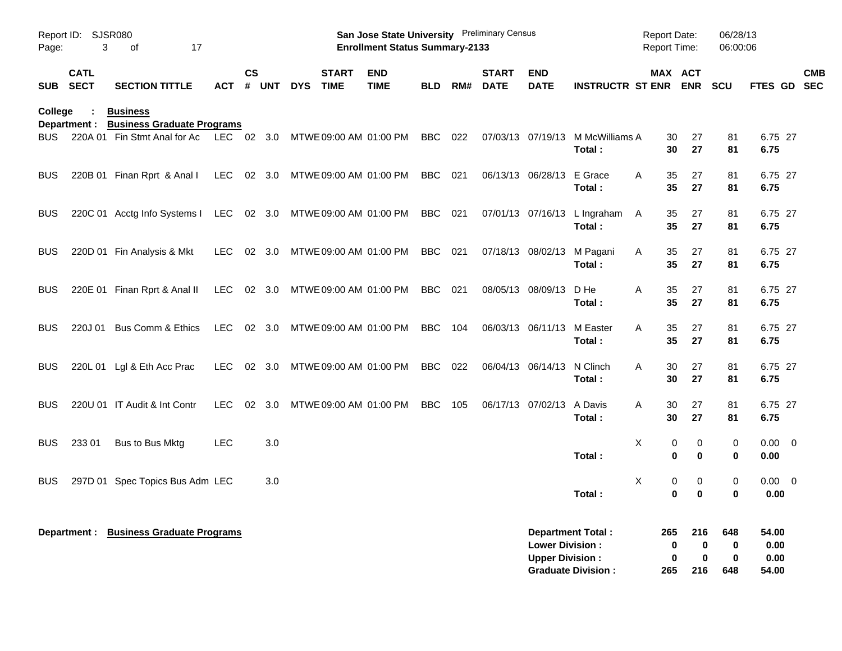| Page:          | Report ID: SJSR080<br>3    | 17<br>of                                                   |            |           |       |                                           | San Jose State University Preliminary Census<br><b>Enrollment Status Summary-2133</b> |                |     |                             |                                                  |                                                       | Report Date: | <b>Report Time:</b>                  | 06/28/13<br>06:00:06                               |                                |            |
|----------------|----------------------------|------------------------------------------------------------|------------|-----------|-------|-------------------------------------------|---------------------------------------------------------------------------------------|----------------|-----|-----------------------------|--------------------------------------------------|-------------------------------------------------------|--------------|--------------------------------------|----------------------------------------------------|--------------------------------|------------|
| <b>SUB</b>     | <b>CATL</b><br><b>SECT</b> | <b>SECTION TITTLE</b>                                      | ACT        | <b>CS</b> | # UNT | <b>START</b><br><b>DYS</b><br><b>TIME</b> | <b>END</b><br><b>TIME</b>                                                             | BLD            | RM# | <b>START</b><br><b>DATE</b> | <b>END</b><br><b>DATE</b>                        | <b>INSTRUCTR ST ENR ENR</b>                           |              | MAX ACT                              | <b>SCU</b>                                         | FTES GD SEC                    | <b>CMB</b> |
| <b>College</b> |                            | <b>Business</b><br>Department : Business Graduate Programs |            |           |       |                                           |                                                                                       |                |     |                             |                                                  |                                                       |              |                                      |                                                    |                                |            |
| BUS            |                            | 220A 01 Fin Stmt Anal for Ac                               |            |           |       | LEC 02 3.0 MTWE 09:00 AM 01:00 PM         |                                                                                       | BBC            | 022 |                             | 07/03/13 07/19/13                                | M McWilliams A<br>Total:                              |              | 27<br>30<br>30<br>27                 | 81<br>81                                           | 6.75 27<br>6.75                |            |
| <b>BUS</b>     |                            | 220B 01 Finan Rprt & Anal I                                | LEC 02 3.0 |           |       | MTWE 09:00 AM 01:00 PM                    |                                                                                       | BBC            | 021 |                             | 06/13/13 06/28/13                                | E Grace<br>Total:                                     | Α            | 35<br>27<br>35<br>27                 | 81<br>81                                           | 6.75 27<br>6.75                |            |
| <b>BUS</b>     |                            | 220C 01 Acctg Info Systems I LEC 02 3.0                    |            |           |       | MTWE 09:00 AM 01:00 PM                    |                                                                                       | BBC            | 021 |                             |                                                  | 07/01/13 07/16/13 L Ingraham<br>Total:                | A            | 35<br>27<br>35<br>27                 | 81<br>81                                           | 6.75 27<br>6.75                |            |
| <b>BUS</b>     |                            | 220D 01 Fin Analysis & Mkt                                 | LEC.       | 02 3.0    |       | MTWE 09:00 AM 01:00 PM                    |                                                                                       | BBC 021        |     |                             | 07/18/13 08/02/13                                | M Pagani<br>Total:                                    | A            | 27<br>35<br>35<br>27                 | 81<br>81                                           | 6.75 27<br>6.75                |            |
| <b>BUS</b>     |                            | 220E 01 Finan Rprt & Anal II                               |            |           |       | LEC 02 3.0 MTWE 09:00 AM 01:00 PM         |                                                                                       | <b>BBC</b> 021 |     |                             | 08/05/13 08/09/13                                | D He<br>Total:                                        | A            | 35<br>27<br>35<br>27                 | 81<br>81                                           | 6.75 27<br>6.75                |            |
| <b>BUS</b>     |                            | 220J 01 Bus Comm & Ethics                                  | <b>LEC</b> | 02 3.0    |       | MTWE 09:00 AM 01:00 PM                    |                                                                                       | <b>BBC</b>     | 104 |                             | 06/03/13 06/11/13                                | M Easter<br>Total:                                    | A            | 27<br>35<br>35<br>27                 | 81<br>81                                           | 6.75 27<br>6.75                |            |
| <b>BUS</b>     |                            | 220L 01 Lgl & Eth Acc Prac                                 | LEC.       | 02 3.0    |       | MTWE 09:00 AM 01:00 PM                    |                                                                                       | BBC            | 022 |                             | 06/04/13 06/14/13                                | N Clinch<br>Total:                                    | A            | 30<br>27<br>30<br>27                 | 81<br>81                                           | 6.75 27<br>6.75                |            |
| <b>BUS</b>     |                            | 220U 01 IT Audit & Int Contr                               | LEC.       | 02 3.0    |       | MTWE 09:00 AM 01:00 PM                    |                                                                                       | BBC            | 105 |                             | 06/17/13 07/02/13                                | A Davis<br>Total:                                     | Α            | 30<br>27<br>30<br>27                 | 81<br>81                                           | 6.75 27<br>6.75                |            |
| <b>BUS</b>     | 233 01                     | Bus to Bus Mktg                                            | LEC        |           | 3.0   |                                           |                                                                                       |                |     |                             |                                                  | Total:                                                | X            | 0<br>0<br>$\mathbf 0$<br>$\mathbf 0$ | 0<br>$\mathbf 0$                                   | $0.00 \t 0$<br>0.00            |            |
| <b>BUS</b>     |                            | 297D 01 Spec Topics Bus Adm LEC                            |            |           | 3.0   |                                           |                                                                                       |                |     |                             |                                                  | Total:                                                | Χ            | 0<br>0<br>$\mathbf 0$<br>$\bf{0}$    | $\mathbf 0$<br>$\bf{0}$                            | $0.00 \t 0$<br>0.00            |            |
|                |                            | Department : Business Graduate Programs                    |            |           |       |                                           |                                                                                       |                |     |                             | <b>Lower Division:</b><br><b>Upper Division:</b> | <b>Department Total:</b><br><b>Graduate Division:</b> | 265<br>265   | 216<br>0<br>0<br>216                 | 648<br>$\mathbf 0$<br>0<br>$\mathbf 0$<br>0<br>648 | 54.00<br>0.00<br>0.00<br>54.00 |            |